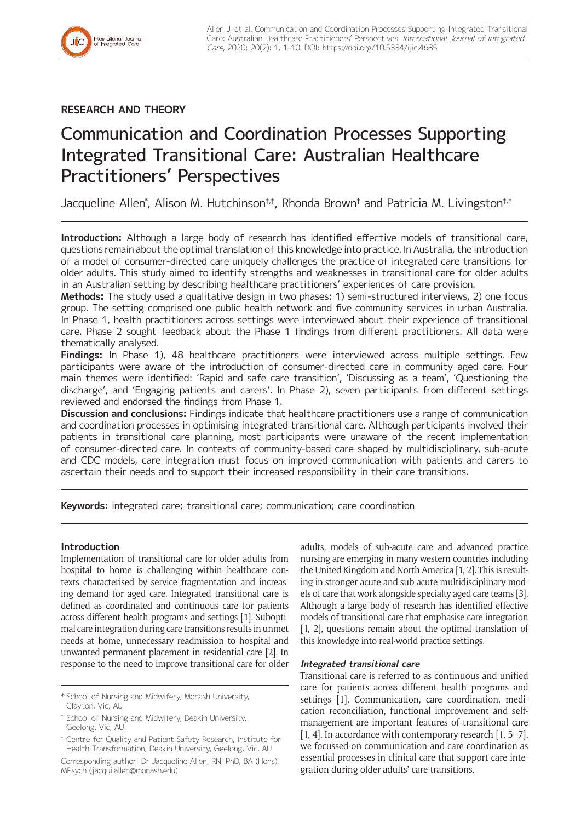

## **RESEARCH AND THEORY**

# Communication and Coordination Processes Supporting Integrated Transitional Care: Australian Healthcare Practitioners' Perspectives

Jacqueline Allen\*, Alison M. Hutchinson†.‡, Rhonda Brown† and Patricia M. Livingston†.‡

**Introduction:** Although a large body of research has identified effective models of transitional care, questions remain about the optimal translation of this knowledge into practice. In Australia, the introduction of a model of consumer-directed care uniquely challenges the practice of integrated care transitions for older adults. This study aimed to identify strengths and weaknesses in transitional care for older adults in an Australian setting by describing healthcare practitioners' experiences of care provision.

**Methods:** The study used a qualitative design in two phases: 1) semi-structured interviews, 2) one focus group. The setting comprised one public health network and five community services in urban Australia. In Phase 1, health practitioners across settings were interviewed about their experience of transitional care. Phase 2 sought feedback about the Phase 1 findings from different practitioners. All data were thematically analysed.

**Findings:** In Phase 1), 48 healthcare practitioners were interviewed across multiple settings. Few participants were aware of the introduction of consumer-directed care in community aged care. Four main themes were identified: 'Rapid and safe care transition', 'Discussing as a team', 'Questioning the discharge', and 'Engaging patients and carers'. In Phase 2), seven participants from different settings reviewed and endorsed the findings from Phase 1.

**Discussion and conclusions:** Findings indicate that healthcare practitioners use a range of communication and coordination processes in optimising integrated transitional care. Although participants involved their patients in transitional care planning, most participants were unaware of the recent implementation of consumer-directed care. In contexts of community-based care shaped by multidisciplinary, sub-acute and CDC models, care integration must focus on improved communication with patients and carers to ascertain their needs and to support their increased responsibility in their care transitions.

**Keywords:** integrated care; transitional care; communication; care coordination

## **Introduction**

Implementation of transitional care for older adults from hospital to home is challenging within healthcare contexts characterised by service fragmentation and increasing demand for aged care. Integrated transitional care is defined as coordinated and continuous care for patients across different health programs and settings [1]. Suboptimal care integration during care transitions results in unmet needs at home, unnecessary readmission to hospital and unwanted permanent placement in residential care [2]. In response to the need to improve transitional care for older

\* School of Nursing and Midwifery, Monash University, Clayton, Vic, AU

Corresponding author: Dr Jacqueline Allen, RN, PhD, BA (Hons), MPsych [\(jacqui.allen@monash.edu\)](mailto:jacqui.allen@monash.edu)

adults, models of sub-acute care and advanced practice nursing are emerging in many western countries including the United Kingdom and North America [1, 2]. This is resulting in stronger acute and sub-acute multidisciplinary models of care that work alongside specialty aged care teams [3]. Although a large body of research has identified effective models of transitional care that emphasise care integration [1, 2], questions remain about the optimal translation of this knowledge into real-world practice settings.

## **Integrated transitional care**

Transitional care is referred to as continuous and unified care for patients across different health programs and settings [1]. Communication, care coordination, medication reconciliation, functional improvement and selfmanagement are important features of transitional care [1, 4]. In accordance with contemporary research [1, 5–7], we focussed on communication and care coordination as essential processes in clinical care that support care integration during older adults' care transitions.

<sup>†</sup> School of Nursing and Midwifery, Deakin University, Geelong, Vic, AU

<sup>‡</sup> Centre for Quality and Patient Safety Research, Institute for Health Transformation, Deakin University, Geelong, Vic, AU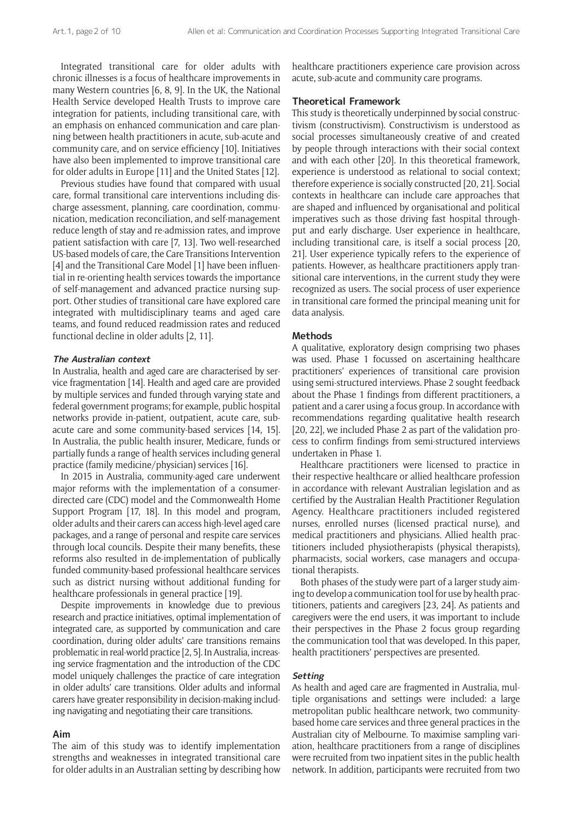Integrated transitional care for older adults with chronic illnesses is a focus of healthcare improvements in many Western countries [6, 8, 9]. In the UK, the National Health Service developed Health Trusts to improve care integration for patients, including transitional care, with an emphasis on enhanced communication and care planning between health practitioners in acute, sub-acute and community care, and on service efficiency [10]. Initiatives have also been implemented to improve transitional care for older adults in Europe [11] and the United States [12].

Previous studies have found that compared with usual care, formal transitional care interventions including discharge assessment, planning, care coordination, communication, medication reconciliation, and self-management reduce length of stay and re-admission rates, and improve patient satisfaction with care [7, 13]. Two well-researched US-based models of care, the Care Transitions Intervention [4] and the Transitional Care Model [1] have been influential in re-orienting health services towards the importance of self-management and advanced practice nursing support. Other studies of transitional care have explored care integrated with multidisciplinary teams and aged care teams, and found reduced readmission rates and reduced functional decline in older adults [2, 11].

## **The Australian context**

In Australia, health and aged care are characterised by service fragmentation [14]. Health and aged care are provided by multiple services and funded through varying state and federal government programs; for example, public hospital networks provide in-patient, outpatient, acute care, subacute care and some community-based services [14, 15]. In Australia, the public health insurer, Medicare, funds or partially funds a range of health services including general practice (family medicine/physician) services [16].

In 2015 in Australia, community-aged care underwent major reforms with the implementation of a consumerdirected care (CDC) model and the Commonwealth Home Support Program [17, 18]. In this model and program, older adults and their carers can access high-level aged care packages, and a range of personal and respite care services through local councils. Despite their many benefits, these reforms also resulted in de-implementation of publically funded community-based professional healthcare services such as district nursing without additional funding for healthcare professionals in general practice [19].

Despite improvements in knowledge due to previous research and practice initiatives, optimal implementation of integrated care, as supported by communication and care coordination, during older adults' care transitions remains problematic in real-world practice [2, 5]. In Australia, increasing service fragmentation and the introduction of the CDC model uniquely challenges the practice of care integration in older adults' care transitions. Older adults and informal carers have greater responsibility in decision-making including navigating and negotiating their care transitions.

#### **Aim**

The aim of this study was to identify implementation strengths and weaknesses in integrated transitional care for older adults in an Australian setting by describing how

healthcare practitioners experience care provision across acute, sub-acute and community care programs.

## **Theoretical Framework**

This study is theoretically underpinned by social constructivism (constructivism). Constructivism is understood as social processes simultaneously creative of and created by people through interactions with their social context and with each other [20]. In this theoretical framework, experience is understood as relational to social context; therefore experience is socially constructed [20, 21]. Social contexts in healthcare can include care approaches that are shaped and influenced by organisational and political imperatives such as those driving fast hospital throughput and early discharge. User experience in healthcare, including transitional care, is itself a social process [20, 21]. User experience typically refers to the experience of patients. However, as healthcare practitioners apply transitional care interventions, in the current study they were recognized as users. The social process of user experience in transitional care formed the principal meaning unit for data analysis.

#### **Methods**

A qualitative, exploratory design comprising two phases was used. Phase 1 focussed on ascertaining healthcare practitioners' experiences of transitional care provision using semi-structured interviews. Phase 2 sought feedback about the Phase 1 findings from different practitioners, a patient and a carer using a focus group. In accordance with recommendations regarding qualitative health research [20, 22], we included Phase 2 as part of the validation process to confirm findings from semi-structured interviews undertaken in Phase 1.

Healthcare practitioners were licensed to practice in their respective healthcare or allied healthcare profession in accordance with relevant Australian legislation and as certified by the Australian Health Practitioner Regulation Agency. Healthcare practitioners included registered nurses, enrolled nurses (licensed practical nurse), and medical practitioners and physicians. Allied health practitioners included physiotherapists (physical therapists), pharmacists, social workers, case managers and occupational therapists.

Both phases of the study were part of a larger study aiming to develop a communication tool for use by health practitioners, patients and caregivers [23, 24]. As patients and caregivers were the end users, it was important to include their perspectives in the Phase 2 focus group regarding the communication tool that was developed. In this paper, health practitioners' perspectives are presented.

## **Setting**

As health and aged care are fragmented in Australia, multiple organisations and settings were included: a large metropolitan public healthcare network, two communitybased home care services and three general practices in the Australian city of Melbourne. To maximise sampling variation, healthcare practitioners from a range of disciplines were recruited from two inpatient sites in the public health network. In addition, participants were recruited from two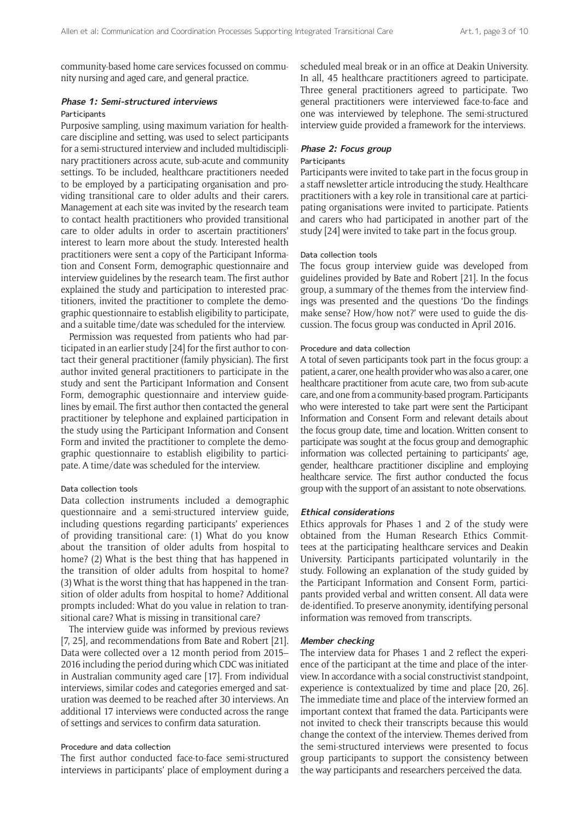community-based home care services focussed on community nursing and aged care, and general practice.

## **Phase 1: Semi-structured interviews**

## Participants

Purposive sampling, using maximum variation for healthcare discipline and setting, was used to select participants for a semi-structured interview and included multidisciplinary practitioners across acute, sub-acute and community settings. To be included, healthcare practitioners needed to be employed by a participating organisation and providing transitional care to older adults and their carers. Management at each site was invited by the research team to contact health practitioners who provided transitional care to older adults in order to ascertain practitioners' interest to learn more about the study. Interested health practitioners were sent a copy of the Participant Information and Consent Form, demographic questionnaire and interview guidelines by the research team. The first author explained the study and participation to interested practitioners, invited the practitioner to complete the demographic questionnaire to establish eligibility to participate, and a suitable time/date was scheduled for the interview.

Permission was requested from patients who had participated in an earlier study [24] for the first author to contact their general practitioner (family physician). The first author invited general practitioners to participate in the study and sent the Participant Information and Consent Form, demographic questionnaire and interview guidelines by email. The first author then contacted the general practitioner by telephone and explained participation in the study using the Participant Information and Consent Form and invited the practitioner to complete the demographic questionnaire to establish eligibility to participate. A time/date was scheduled for the interview.

## Data collection tools

Data collection instruments included a demographic questionnaire and a semi-structured interview guide, including questions regarding participants' experiences of providing transitional care: (1) What do you know about the transition of older adults from hospital to home? (2) What is the best thing that has happened in the transition of older adults from hospital to home? (3) What is the worst thing that has happened in the transition of older adults from hospital to home? Additional prompts included: What do you value in relation to transitional care? What is missing in transitional care?

The interview guide was informed by previous reviews [7, 25], and recommendations from Bate and Robert [21]. Data were collected over a 12 month period from 2015– 2016 including the period during which CDC was initiated in Australian community aged care [17]. From individual interviews, similar codes and categories emerged and saturation was deemed to be reached after 30 interviews. An additional 17 interviews were conducted across the range of settings and services to confirm data saturation.

## Procedure and data collection

The first author conducted face-to-face semi-structured interviews in participants' place of employment during a scheduled meal break or in an office at Deakin University. In all, 45 healthcare practitioners agreed to participate. Three general practitioners agreed to participate. Two general practitioners were interviewed face-to-face and one was interviewed by telephone. The semi-structured interview guide provided a framework for the interviews.

## **Phase 2: Focus group**

#### **Participants**

Participants were invited to take part in the focus group in a staff newsletter article introducing the study. Healthcare practitioners with a key role in transitional care at participating organisations were invited to participate. Patients and carers who had participated in another part of the study [24] were invited to take part in the focus group.

#### Data collection tools

The focus group interview guide was developed from guidelines provided by Bate and Robert [21]. In the focus group, a summary of the themes from the interview findings was presented and the questions 'Do the findings make sense? How/how not?' were used to guide the discussion. The focus group was conducted in April 2016.

#### Procedure and data collection

A total of seven participants took part in the focus group: a patient, a carer, one health provider who was also a carer, one healthcare practitioner from acute care, two from sub-acute care, and one from a community-based program. Participants who were interested to take part were sent the Participant Information and Consent Form and relevant details about the focus group date, time and location. Written consent to participate was sought at the focus group and demographic information was collected pertaining to participants' age, gender, healthcare practitioner discipline and employing healthcare service. The first author conducted the focus group with the support of an assistant to note observations.

#### **Ethical considerations**

Ethics approvals for Phases 1 and 2 of the study were obtained from the Human Research Ethics Committees at the participating healthcare services and Deakin University. Participants participated voluntarily in the study. Following an explanation of the study guided by the Participant Information and Consent Form, participants provided verbal and written consent. All data were de-identified. To preserve anonymity, identifying personal information was removed from transcripts.

#### **Member checking**

The interview data for Phases 1 and 2 reflect the experience of the participant at the time and place of the interview. In accordance with a social constructivist standpoint, experience is contextualized by time and place [20, 26]. The immediate time and place of the interview formed an important context that framed the data. Participants were not invited to check their transcripts because this would change the context of the interview. Themes derived from the semi-structured interviews were presented to focus group participants to support the consistency between the way participants and researchers perceived the data.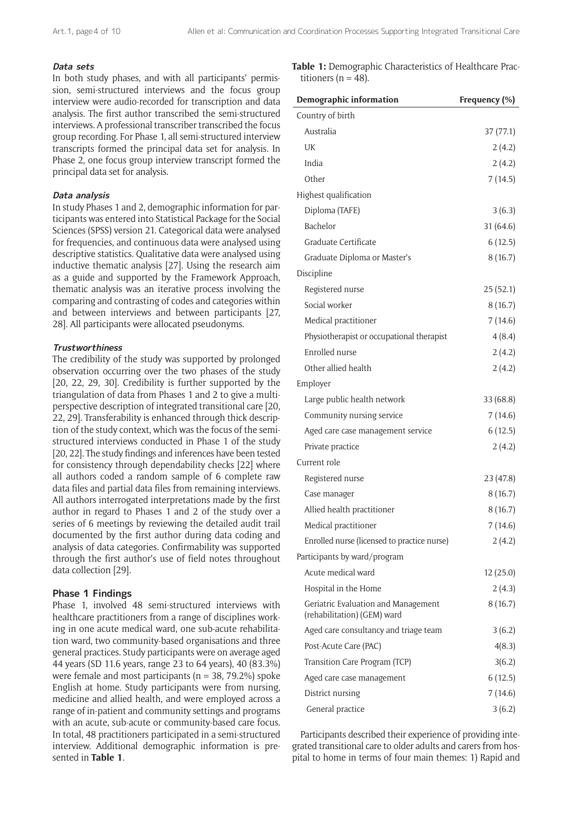#### **Data sets**

In both study phases, and with all participants' permission, semi-structured interviews and the focus group interview were audio-recorded for transcription and data analysis. The first author transcribed the semi-structured interviews. A professional transcriber transcribed the focus group recording. For Phase 1, all semi-structured interview transcripts formed the principal data set for analysis. In Phase 2, one focus group interview transcript formed the principal data set for analysis.

#### **Data analysis**

In study Phases 1 and 2, demographic information for participants was entered into Statistical Package for the Social Sciences (SPSS) version 21. Categorical data were analysed for frequencies, and continuous data were analysed using descriptive statistics. Qualitative data were analysed using inductive thematic analysis [27]. Using the research aim as a guide and supported by the Framework Approach, thematic analysis was an iterative process involving the comparing and contrasting of codes and categories within and between interviews and between participants [27, 28]. All participants were allocated pseudonyms.

## **Trustworthiness**

The credibility of the study was supported by prolonged observation occurring over the two phases of the study [20, 22, 29, 30]. Credibility is further supported by the triangulation of data from Phases 1 and 2 to give a multiperspective description of integrated transitional care [20, 22, 29]. Transferability is enhanced through thick description of the study context, which was the focus of the semistructured interviews conducted in Phase 1 of the study [20, 22]. The study findings and inferences have been tested for consistency through dependability checks [22] where all authors coded a random sample of 6 complete raw data files and partial data files from remaining interviews. All authors interrogated interpretations made by the first author in regard to Phases 1 and 2 of the study over a series of 6 meetings by reviewing the detailed audit trail documented by the first author during data coding and analysis of data categories. Confirmability was supported through the first author's use of field notes throughout data collection [29].

## **Phase 1 Findings**

Phase 1, involved 48 semi-structured interviews with healthcare practitioners from a range of disciplines working in one acute medical ward, one sub-acute rehabilitation ward, two community-based organisations and three general practices. Study participants were on average aged 44 years (SD 11.6 years, range 23 to 64 years), 40 (83.3%) were female and most participants ( $n = 38, 79.2\%$ ) spoke English at home. Study participants were from nursing, medicine and allied health, and were employed across a range of in-patient and community settings and programs with an acute, sub-acute or community-based care focus. In total, 48 practitioners participated in a semi-structured interview. Additional demographic information is presented in **Table 1**.

**Table 1:** Demographic Characteristics of Healthcare Practitioners ( $n = 48$ ).

| <b>Demographic information</b>                                     | Frequency (%) |
|--------------------------------------------------------------------|---------------|
| Country of birth                                                   |               |
| Australia                                                          | 37 (77.1)     |
| UK                                                                 | 2(4.2)        |
| India                                                              | 2(4.2)        |
| Other                                                              | 7(14.5)       |
| Highest qualification                                              |               |
| Diploma (TAFE)                                                     | 3(6.3)        |
| Bachelor                                                           | 31 (64.6)     |
| Graduate Certificate                                               | 6(12.5)       |
| Graduate Diploma or Master's                                       | 8(16.7)       |
| Discipline                                                         |               |
| Registered nurse                                                   | 25(52.1)      |
| Social worker                                                      | 8(16.7)       |
| Medical practitioner                                               | 7(14.6)       |
| Physiotherapist or occupational therapist                          | 4(8.4)        |
| Enrolled nurse                                                     | 2(4.2)        |
| Other allied health                                                | 2(4.2)        |
| Employer                                                           |               |
| Large public health network                                        | 33 (68.8)     |
| Community nursing service                                          | 7 (14.6)      |
| Aged care case management service                                  | 6(12.5)       |
| Private practice                                                   | 2(4.2)        |
| Current role                                                       |               |
| Registered nurse                                                   | 23 (47.8)     |
| Case manager                                                       | 8(16.7)       |
| Allied health practitioner                                         | 8(16.7)       |
| Medical practitioner                                               | 7 (14.6)      |
| Enrolled nurse (licensed to practice nurse)                        | 2(4.2)        |
| Participants by ward/program                                       |               |
| Acute medical ward                                                 | 12(25.0)      |
| Hospital in the Home                                               | 2(4.3)        |
| Geriatric Evaluation and Management<br>(rehabilitation) (GEM) ward | 8(16.7)       |
| Aged care consultancy and triage team                              | 3(6.2)        |
| Post-Acute Care (PAC)                                              | 4(8.3)        |
| Transition Care Program (TCP)                                      | 3(6.2)        |
| Aged care case management                                          | 6(12.5)       |
| District nursing                                                   | 7(14.6)       |
| General practice                                                   | 3(6.2)        |

Participants described their experience of providing integrated transitional care to older adults and carers from hospital to home in terms of four main themes: 1) Rapid and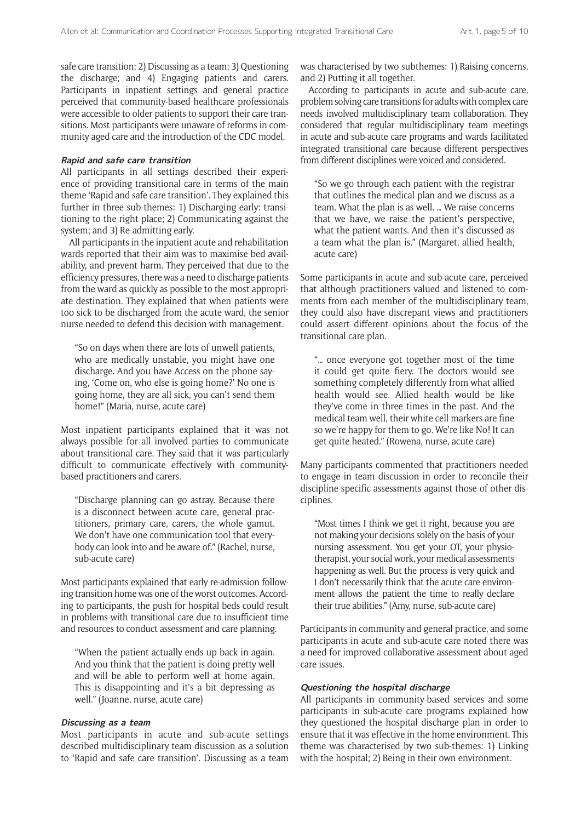safe care transition; 2) Discussing as a team; 3) Questioning the discharge; and 4) Engaging patients and carers. Participants in inpatient settings and general practice perceived that community-based healthcare professionals were accessible to older patients to support their care transitions. Most participants were unaware of reforms in community aged care and the introduction of the CDC model.

#### **Rapid and safe care transition**

All participants in all settings described their experience of providing transitional care in terms of the main theme 'Rapid and safe care transition'. They explained this further in three sub-themes: 1) Discharging early: transitioning to the right place; 2) Communicating against the system; and 3) Re-admitting early.

All participants in the inpatient acute and rehabilitation wards reported that their aim was to maximise bed availability, and prevent harm. They perceived that due to the efficiency pressures, there was a need to discharge patients from the ward as quickly as possible to the most appropriate destination. They explained that when patients were too sick to be discharged from the acute ward, the senior nurse needed to defend this decision with management.

"So on days when there are lots of unwell patients, who are medically unstable, you might have one discharge. And you have Access on the phone saying, 'Come on, who else is going home?' No one is going home, they are all sick, you can't send them home!" (Maria, nurse, acute care)

Most inpatient participants explained that it was not always possible for all involved parties to communicate about transitional care. They said that it was particularly difficult to communicate effectively with communitybased practitioners and carers.

"Discharge planning can go astray. Because there is a disconnect between acute care, general practitioners, primary care, carers, the whole gamut. We don't have one communication tool that everybody can look into and be aware of." (Rachel, nurse, sub-acute care)

Most participants explained that early re-admission following transition home was one of the worst outcomes. According to participants, the push for hospital beds could result in problems with transitional care due to insufficient time and resources to conduct assessment and care planning.

"When the patient actually ends up back in again. And you think that the patient is doing pretty well and will be able to perform well at home again. This is disappointing and it's a bit depressing as well." (Joanne, nurse, acute care)

#### **Discussing as a team**

Most participants in acute and sub-acute settings described multidisciplinary team discussion as a solution to 'Rapid and safe care transition'. Discussing as a team was characterised by two subthemes: 1) Raising concerns, and 2) Putting it all together.

According to participants in acute and sub-acute care, problem solving care transitions for adults with complex care needs involved multidisciplinary team collaboration. They considered that regular multidisciplinary team meetings in acute and sub-acute care programs and wards facilitated integrated transitional care because different perspectives from different disciplines were voiced and considered.

"So we go through each patient with the registrar that outlines the medical plan and we discuss as a team. What the plan is as well. … We raise concerns that we have, we raise the patient's perspective, what the patient wants. And then it's discussed as a team what the plan is." (Margaret, allied health, acute care)

Some participants in acute and sub-acute care, perceived that although practitioners valued and listened to comments from each member of the multidisciplinary team, they could also have discrepant views and practitioners could assert different opinions about the focus of the transitional care plan.

"… once everyone got together most of the time it could get quite fiery. The doctors would see something completely differently from what allied health would see. Allied health would be like they've come in three times in the past. And the medical team well, their white cell markers are fine so we're happy for them to go. We're like No! It can get quite heated." (Rowena, nurse, acute care)

Many participants commented that practitioners needed to engage in team discussion in order to reconcile their discipline-specific assessments against those of other disciplines.

"Most times I think we get it right, because you are not making your decisions solely on the basis of your nursing assessment. You get your OT, your physiotherapist, your social work, your medical assessments happening as well. But the process is very quick and I don't necessarily think that the acute care environment allows the patient the time to really declare their true abilities." (Amy, nurse, sub-acute care)

Participants in community and general practice, and some participants in acute and sub-acute care noted there was a need for improved collaborative assessment about aged care issues.

## **Questioning the hospital discharge**

All participants in community-based services and some participants in sub-acute care programs explained how they questioned the hospital discharge plan in order to ensure that it was effective in the home environment. This theme was characterised by two sub-themes: 1) Linking with the hospital; 2) Being in their own environment.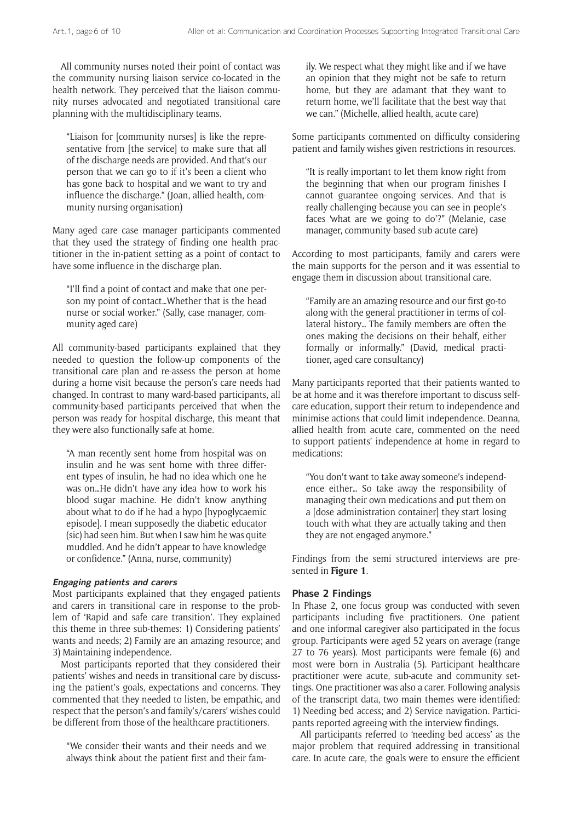All community nurses noted their point of contact was the community nursing liaison service co-located in the health network. They perceived that the liaison community nurses advocated and negotiated transitional care planning with the multidisciplinary teams.

"Liaison for [community nurses] is like the representative from [the service] to make sure that all of the discharge needs are provided. And that's our person that we can go to if it's been a client who has gone back to hospital and we want to try and influence the discharge." (Joan, allied health, community nursing organisation)

Many aged care case manager participants commented that they used the strategy of finding one health practitioner in the in-patient setting as a point of contact to have some influence in the discharge plan.

"I'll find a point of contact and make that one person my point of contact…Whether that is the head nurse or social worker." (Sally, case manager, community aged care)

All community-based participants explained that they needed to question the follow-up components of the transitional care plan and re-assess the person at home during a home visit because the person's care needs had changed. In contrast to many ward-based participants, all community-based participants perceived that when the person was ready for hospital discharge, this meant that they were also functionally safe at home.

"A man recently sent home from hospital was on insulin and he was sent home with three different types of insulin, he had no idea which one he was on…He didn't have any idea how to work his blood sugar machine. He didn't know anything about what to do if he had a hypo [hypoglycaemic episode]. I mean supposedly the diabetic educator (sic) had seen him. But when I saw him he was quite muddled. And he didn't appear to have knowledge or confidence." (Anna, nurse, community)

### **Engaging patients and carers**

Most participants explained that they engaged patients and carers in transitional care in response to the problem of 'Rapid and safe care transition'. They explained this theme in three sub-themes: 1) Considering patients' wants and needs; 2) Family are an amazing resource; and 3) Maintaining independence.

Most participants reported that they considered their patients' wishes and needs in transitional care by discussing the patient's goals, expectations and concerns. They commented that they needed to listen, be empathic, and respect that the person's and family's/carers' wishes could be different from those of the healthcare practitioners.

"We consider their wants and their needs and we always think about the patient first and their family. We respect what they might like and if we have an opinion that they might not be safe to return home, but they are adamant that they want to return home, we'll facilitate that the best way that we can." (Michelle, allied health, acute care)

Some participants commented on difficulty considering patient and family wishes given restrictions in resources.

"It is really important to let them know right from the beginning that when our program finishes I cannot guarantee ongoing services. And that is really challenging because you can see in people's faces 'what are we going to do'?" (Melanie, case manager, community-based sub-acute care)

According to most participants, family and carers were the main supports for the person and it was essential to engage them in discussion about transitional care.

"Family are an amazing resource and our first go-to along with the general practitioner in terms of collateral history… The family members are often the ones making the decisions on their behalf, either formally or informally." (David, medical practitioner, aged care consultancy)

Many participants reported that their patients wanted to be at home and it was therefore important to discuss selfcare education, support their return to independence and minimise actions that could limit independence. Deanna, allied health from acute care, commented on the need to support patients' independence at home in regard to medications:

"You don't want to take away someone's independence either… So take away the responsibility of managing their own medications and put them on a [dose administration container] they start losing touch with what they are actually taking and then they are not engaged anymore."

Findings from the semi structured interviews are presented in **Figure 1**.

## **Phase 2 Findings**

In Phase 2, one focus group was conducted with seven participants including five practitioners. One patient and one informal caregiver also participated in the focus group. Participants were aged 52 years on average (range 27 to 76 years). Most participants were female (6) and most were born in Australia (5). Participant healthcare practitioner were acute, sub-acute and community settings. One practitioner was also a carer. Following analysis of the transcript data, two main themes were identified: 1) Needing bed access; and 2) Service navigation. Participants reported agreeing with the interview findings.

All participants referred to 'needing bed access' as the major problem that required addressing in transitional care. In acute care, the goals were to ensure the efficient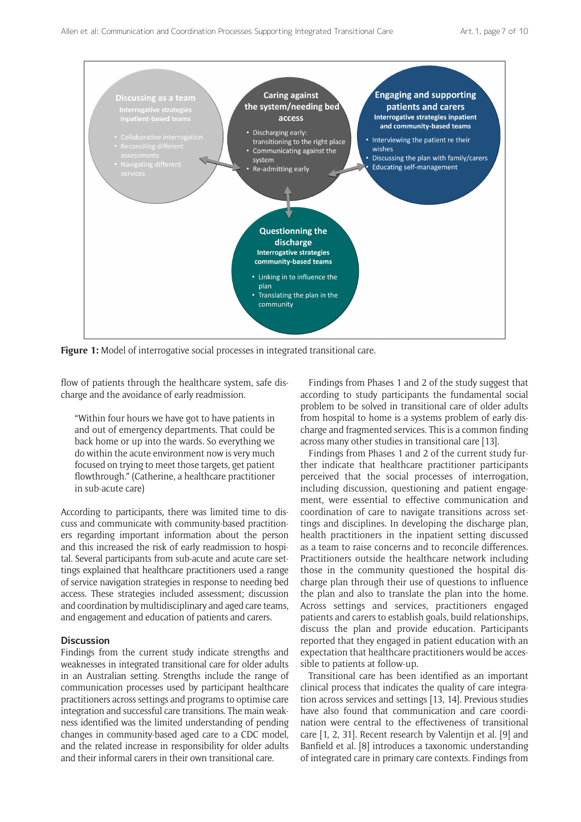

**Figure 1:** Model of interrogative social processes in integrated transitional care.

flow of patients through the healthcare system, safe discharge and the avoidance of early readmission.

"Within four hours we have got to have patients in and out of emergency departments. That could be back home or up into the wards. So everything we do within the acute environment now is very much focused on trying to meet those targets, get patient flowthrough." (Catherine, a healthcare practitioner in sub-acute care)

According to participants, there was limited time to discuss and communicate with community-based practitioners regarding important information about the person and this increased the risk of early readmission to hospital. Several participants from sub-acute and acute care settings explained that healthcare practitioners used a range of service navigation strategies in response to needing bed access. These strategies included assessment; discussion and coordination by multidisciplinary and aged care teams, and engagement and education of patients and carers.

## **Discussion**

Findings from the current study indicate strengths and weaknesses in integrated transitional care for older adults in an Australian setting. Strengths include the range of communication processes used by participant healthcare practitioners across settings and programs to optimise care integration and successful care transitions. The main weakness identified was the limited understanding of pending changes in community-based aged care to a CDC model, and the related increase in responsibility for older adults and their informal carers in their own transitional care.

Findings from Phases 1 and 2 of the study suggest that according to study participants the fundamental social problem to be solved in transitional care of older adults from hospital to home is a systems problem of early discharge and fragmented services. This is a common finding across many other studies in transitional care [13].

Findings from Phases 1 and 2 of the current study further indicate that healthcare practitioner participants perceived that the social processes of interrogation, including discussion, questioning and patient engagement, were essential to effective communication and coordination of care to navigate transitions across settings and disciplines. In developing the discharge plan, health practitioners in the inpatient setting discussed as a team to raise concerns and to reconcile differences. Practitioners outside the healthcare network including those in the community questioned the hospital discharge plan through their use of questions to influence the plan and also to translate the plan into the home. Across settings and services, practitioners engaged patients and carers to establish goals, build relationships, discuss the plan and provide education. Participants reported that they engaged in patient education with an expectation that healthcare practitioners would be accessible to patients at follow-up.

Transitional care has been identified as an important clinical process that indicates the quality of care integration across services and settings [13, 14]. Previous studies have also found that communication and care coordination were central to the effectiveness of transitional care [1, 2, 31]. Recent research by Valentijn et al. [9] and Banfield et al. [8] introduces a taxonomic understanding of integrated care in primary care contexts. Findings from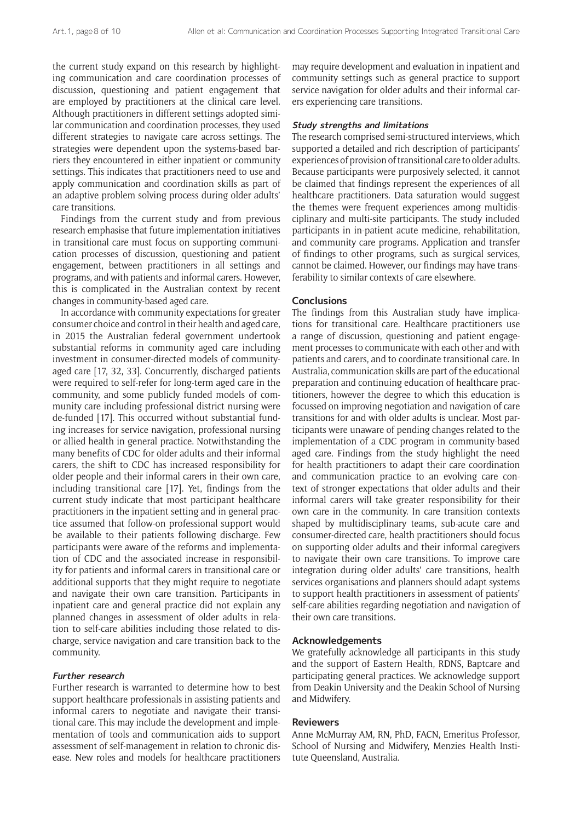the current study expand on this research by highlighting communication and care coordination processes of discussion, questioning and patient engagement that are employed by practitioners at the clinical care level. Although practitioners in different settings adopted similar communication and coordination processes, they used different strategies to navigate care across settings. The strategies were dependent upon the systems-based barriers they encountered in either inpatient or community settings. This indicates that practitioners need to use and apply communication and coordination skills as part of an adaptive problem solving process during older adults' care transitions.

Findings from the current study and from previous research emphasise that future implementation initiatives in transitional care must focus on supporting communication processes of discussion, questioning and patient engagement, between practitioners in all settings and programs, and with patients and informal carers. However, this is complicated in the Australian context by recent changes in community-based aged care.

In accordance with community expectations for greater consumer choice and control in their health and aged care, in 2015 the Australian federal government undertook substantial reforms in community aged care including investment in consumer-directed models of communityaged care [17, 32, 33]. Concurrently, discharged patients were required to self-refer for long-term aged care in the community, and some publicly funded models of community care including professional district nursing were de-funded [17]. This occurred without substantial funding increases for service navigation, professional nursing or allied health in general practice. Notwithstanding the many benefits of CDC for older adults and their informal carers, the shift to CDC has increased responsibility for older people and their informal carers in their own care, including transitional care [17]. Yet, findings from the current study indicate that most participant healthcare practitioners in the inpatient setting and in general practice assumed that follow-on professional support would be available to their patients following discharge. Few participants were aware of the reforms and implementation of CDC and the associated increase in responsibility for patients and informal carers in transitional care or additional supports that they might require to negotiate and navigate their own care transition. Participants in inpatient care and general practice did not explain any planned changes in assessment of older adults in relation to self-care abilities including those related to discharge, service navigation and care transition back to the community.

## **Further research**

Further research is warranted to determine how to best support healthcare professionals in assisting patients and informal carers to negotiate and navigate their transitional care. This may include the development and implementation of tools and communication aids to support assessment of self-management in relation to chronic disease. New roles and models for healthcare practitioners

may require development and evaluation in inpatient and community settings such as general practice to support service navigation for older adults and their informal carers experiencing care transitions.

#### **Study strengths and limitations**

The research comprised semi-structured interviews, which supported a detailed and rich description of participants' experiences of provision of transitional care to older adults. Because participants were purposively selected, it cannot be claimed that findings represent the experiences of all healthcare practitioners. Data saturation would suggest the themes were frequent experiences among multidisciplinary and multi-site participants. The study included participants in in-patient acute medicine, rehabilitation, and community care programs. Application and transfer of findings to other programs, such as surgical services, cannot be claimed. However, our findings may have transferability to similar contexts of care elsewhere.

#### **Conclusions**

The findings from this Australian study have implications for transitional care. Healthcare practitioners use a range of discussion, questioning and patient engagement processes to communicate with each other and with patients and carers, and to coordinate transitional care. In Australia, communication skills are part of the educational preparation and continuing education of healthcare practitioners, however the degree to which this education is focussed on improving negotiation and navigation of care transitions for and with older adults is unclear. Most participants were unaware of pending changes related to the implementation of a CDC program in community-based aged care. Findings from the study highlight the need for health practitioners to adapt their care coordination and communication practice to an evolving care context of stronger expectations that older adults and their informal carers will take greater responsibility for their own care in the community. In care transition contexts shaped by multidisciplinary teams, sub-acute care and consumer-directed care, health practitioners should focus on supporting older adults and their informal caregivers to navigate their own care transitions. To improve care integration during older adults' care transitions, health services organisations and planners should adapt systems to support health practitioners in assessment of patients' self-care abilities regarding negotiation and navigation of their own care transitions.

#### **Acknowledgements**

We gratefully acknowledge all participants in this study and the support of Eastern Health, RDNS, Baptcare and participating general practices. We acknowledge support from Deakin University and the Deakin School of Nursing and Midwifery.

#### **Reviewers**

Anne McMurray AM, RN, PhD, FACN, Emeritus Professor, School of Nursing and Midwifery, Menzies Health Institute Queensland, Australia.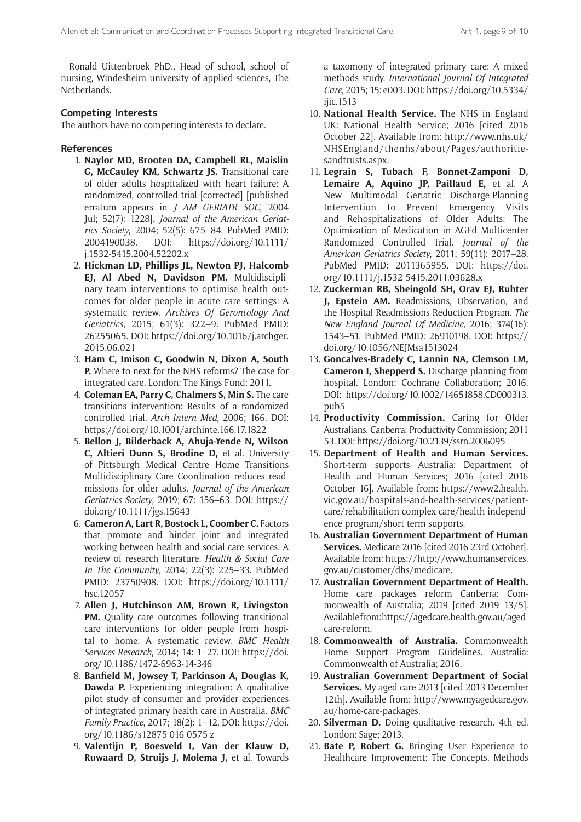Ronald Uittenbroek PhD., Head of school, school of nursing, Windesheim university of applied sciences, The Netherlands.

## **Competing Interests**

The authors have no competing interests to declare.

## **References**

- 1. **Naylor MD, Brooten DA, Campbell RL, Maislin G, McCauley KM, Schwartz JS.** Transitional care of older adults hospitalized with heart failure: A randomized, controlled trial [corrected] [published erratum appears in *J AM GERIATR SOC*, 2004 Jul; 52(7): 1228]. *Journal of the American Geriatrics Society*, 2004; 52(5): 675–84. PubMed PMID: 2004190038. DOI: [https://doi.org/10.1111/](https://doi.org/10.1111/j.1532-5415.2004.52202.x) [j.1532-5415.2004.52202.x](https://doi.org/10.1111/j.1532-5415.2004.52202.x)
- 2. **Hickman LD, Phillips JL, Newton PJ, Halcomb EJ, Al Abed N, Davidson PM.** Multidisciplinary team interventions to optimise health outcomes for older people in acute care settings: A systematic review. *Archives Of Gerontology And Geriatrics*, 2015; 61(3): 322–9. PubMed PMID: 26255065. DOI: [https://doi.org/10.1016/j.archger.](https://doi.org/10.1016/j.archger.2015.06.021) [2015.06.021](https://doi.org/10.1016/j.archger.2015.06.021)
- 3. **Ham C, Imison C, Goodwin N, Dixon A, South P.** Where to next for the NHS reforms? The case for integrated care. London: The Kings Fund; 2011.
- 4. **Coleman EA, Parry C, Chalmers S, Min S.** The care transitions intervention: Results of a randomized controlled trial. *Arch Intern Med*, 2006; 166. DOI: [https://doi.org/10.1001/archinte.166.17.1822](https://doi.org/10.1001/archinte.166.17.1822 )
- 5. **Bellon J, Bilderback A, Ahuja-Yende N, Wilson C, Altieri Dunn S, Brodine D,** et al. University of Pittsburgh Medical Centre Home Transitions Multidisciplinary Care Coordination reduces readmissions for older adults. *Journal of the American Geriatrics Society*, 2019; 67: 156–63. DOI: [https://](https://doi.org/10.1111/jgs.15643) [doi.org/10.1111/jgs.15643](https://doi.org/10.1111/jgs.15643)
- 6. **Cameron A, Lart R, Bostock L, Coomber C.** Factors that promote and hinder joint and integrated working between health and social care services: A review of research literature. *Health & Social Care In The Community*, 2014; 22(3): 225–33. PubMed PMID: 23750908. DOI: [https://doi.org/10.1111/](https://doi.org/10.1111/hsc.12057) [hsc.12057](https://doi.org/10.1111/hsc.12057)
- 7. **Allen J, Hutchinson AM, Brown R, Livingston PM.** Quality care outcomes following transitional care interventions for older people from hospital to home: A systematic review. *BMC Health Services Research*, 2014; 14: 1–27. DOI: [https://doi.](https://doi.org/10.1186/1472-6963-14-346) [org/10.1186/1472-6963-14-346](https://doi.org/10.1186/1472-6963-14-346)
- 8. **Banfield M, Jowsey T, Parkinson A, Douglas K, Dawda P.** Experiencing integration: A qualitative pilot study of consumer and provider experiences of integrated primary health care in Australia. *BMC Family Practice*, 2017; 18(2): 1–12. DOI: [https://doi.](https://doi.org/10.1186/s12875-016-0575-z) [org/10.1186/s12875-016-0575-z](https://doi.org/10.1186/s12875-016-0575-z)
- 9. **Valentijn P, Boesveld I, Van der Klauw D, Ruwaard D, Struijs J, Molema J,** et al. Towards

a taxomony of integrated primary care: A mixed methods study. *International Journal Of Integrated Care*, 2015; 15: e003. DOI: [https://doi.org/10.5334/](https://doi.org/10.5334/ijic.1513) [ijic.1513](https://doi.org/10.5334/ijic.1513)

- 10. **National Health Service.** The NHS in England UK: National Health Service; 2016 [cited 2016 October 22]. Available from: [http://www.nhs.uk/](http://www.nhs.uk/NHSEngland/thenhs/about/Pages/authoritiesandtrusts.aspx) [NHSEngland/thenhs/about/Pages/authoritie](http://www.nhs.uk/NHSEngland/thenhs/about/Pages/authoritiesandtrusts.aspx)[sandtrusts.aspx.](http://www.nhs.uk/NHSEngland/thenhs/about/Pages/authoritiesandtrusts.aspx)
- 11. **Legrain S, Tubach F, Bonnet-Zamponi D, Lemaire A, Aquino JP, Paillaud E,** et al. A New Multimodal Geriatric Discharge-Planning Intervention to Prevent Emergency Visits and Rehospitalizations of Older Adults: The Optimization of Medication in AGEd Multicenter Randomized Controlled Trial. *Journal of the American Geriatrics Society*, 2011; 59(11): 2017–28. PubMed PMID: 2011365955. DOI: [https://doi.](https://doi.org/10.1111/j.1532-5415.2011.03628.x) [org/10.1111/j.1532-5415.2011.03628.x](https://doi.org/10.1111/j.1532-5415.2011.03628.x)
- 12. **Zuckerman RB, Sheingold SH, Orav EJ, Ruhter J, Epstein AM.** Readmissions, Observation, and the Hospital Readmissions Reduction Program. *The New England Journal Of Medicine*, 2016; 374(16): 1543–51. PubMed PMID: 26910198. DOI: [https://](https://doi.org/10.1056/NEJMsa1513024) [doi.org/10.1056/NEJMsa1513024](https://doi.org/10.1056/NEJMsa1513024)
- 13. **Goncalves-Bradely C, Lannin NA, Clemson LM, Cameron I, Shepperd S.** Discharge planning from hospital. London: Cochrane Collaboration; 2016. DOI: [https://doi.org/10.1002/14651858.CD000313.](https://doi.org/10.1002/14651858.CD000313.pub5) [pub5](https://doi.org/10.1002/14651858.CD000313.pub5)
- 14. **Productivity Commission.** Caring for Older Australians. Canberra: Productivity Commission; 2011 53. DOI:<https://doi.org/10.2139/ssrn.2006095>
- 15. **Department of Health and Human Services.** Short-term supports Australia: Department of Health and Human Services; 2016 [cited 2016 October 16]. Available from: [https://www2.health.](https://www2.health.vic.gov.au/hospitals-and-health-services/patient-care/rehabilitation-complex-care/health-independence-program/short-term-supports) [vic.gov.au/hospitals-and-health-services/patient](https://www2.health.vic.gov.au/hospitals-and-health-services/patient-care/rehabilitation-complex-care/health-independence-program/short-term-supports)[care/rehabilitation-complex-care/health-independ](https://www2.health.vic.gov.au/hospitals-and-health-services/patient-care/rehabilitation-complex-care/health-independence-program/short-term-supports)[ence-program/short-term-supports.](https://www2.health.vic.gov.au/hospitals-and-health-services/patient-care/rehabilitation-complex-care/health-independence-program/short-term-supports)
- 16. **Australian Government Department of Human Services.** Medicare 2016 [cited 2016 23rd October]. Available from: [https://http://www.humanservices.](https://http://www.humanservices.gov.au/customer/dhs/medicare) [gov.au/customer/dhs/medicare.](https://http://www.humanservices.gov.au/customer/dhs/medicare)
- 17. **Australian Government Department of Health.**  Home care packages reform Canberra: Commonwealth of Australia; 2019 [cited 2019 13/5]. Available from: [https://agedcare.health.gov.au/aged](https://agedcare.health.gov.au/aged-care-reform)[care-reform](https://agedcare.health.gov.au/aged-care-reform).
- 18. **Commonwealth of Australia.** Commonwealth Home Support Program Guidelines. Australia: Commonwealth of Australia; 2016.
- 19. **Australian Government Department of Social Services.** My aged care 2013 [cited 2013 December 12th]. Available from: [http://www.myagedcare.gov.](http://www.myagedcare.gov.au/home-care-packages) [au/home-care-packages.](http://www.myagedcare.gov.au/home-care-packages)
- 20. **Silverman D.** Doing qualitative research. 4th ed. London: Sage; 2013.
- 21. **Bate P, Robert G.** Bringing User Experience to Healthcare Improvement: The Concepts, Methods